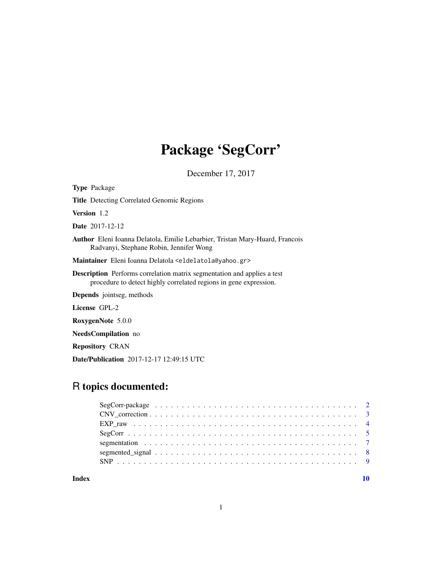# Package 'SegCorr'

December 17, 2017

<span id="page-0-0"></span>

Date/Publication 2017-12-17 12:49:15 UTC

# R topics documented:

 $\blacksquare$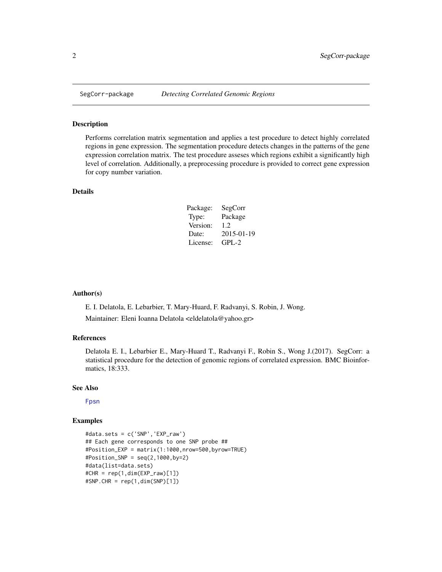<span id="page-1-0"></span>

#### Description

Performs correlation matrix segmentation and applies a test procedure to detect highly correlated regions in gene expression. The segmentation procedure detects changes in the patterns of the gene expression correlation matrix. The test procedure asseses which regions exhibit a significantly high level of correlation. Additionally, a preprocessing procedure is provided to correct gene expression for copy number variation.

#### Details

| Package: | SegCorr    |
|----------|------------|
| Type:    | Package    |
| Version: | 1.2.       |
| Date:    | 2015-01-19 |
| License: | $GPL-2$    |

#### Author(s)

E. I. Delatola, E. Lebarbier, T. Mary-Huard, F. Radvanyi, S. Robin, J. Wong. Maintainer: Eleni Ioanna Delatola <eldelatola@yahoo.gr>

# References

Delatola E. I., Lebarbier E., Mary-Huard T., Radvanyi F., Robin S., Wong J.(2017). SegCorr: a statistical procedure for the detection of genomic regions of correlated expression. BMC Bioinformatics, 18:333.

#### See Also

[Fpsn](#page-0-0)

# Examples

```
#data.sets = c('SNP','EXP_raw')
## Each gene corresponds to one SNP probe ##
#Position_EXP = matrix(1:1000,nrow=500,byrow=TRUE)
#Position_SNP = seq(2,1000,by=2)
#data(list=data.sets)
#CHR = rep(1,dim(EXP_raw)[1])
#SNP.CHR = rep(1,dim(SNP)[1])
```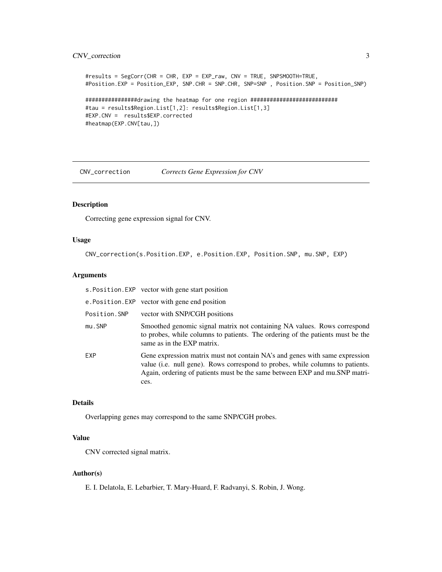# <span id="page-2-0"></span>CNV\_correction 3

```
#results = SegCorr(CHR = CHR, EXP = EXP_raw, CNV = TRUE, SNPSMOOTH=TRUE,
#Position.EXP = Position_EXP, SNP.CHR = SNP.CHR, SNP=SNP , Position.SNP = Position_SNP)
################drawing the heatmap for one region ###########################
#tau = results$Region.List[1,2]: results$Region.List[1,3]
#EXP.CNV = results$EXP.corrected
#heatmap(EXP.CNV[tau,])
```
<span id="page-2-1"></span>CNV\_correction *Corrects Gene Expression for CNV*

# Description

Correcting gene expression signal for CNV.

#### Usage

CNV\_correction(s.Position.EXP, e.Position.EXP, Position.SNP, mu.SNP, EXP)

# Arguments

|              | s. Position. EXP vector with gene start position                                                                                                                                                                                                   |
|--------------|----------------------------------------------------------------------------------------------------------------------------------------------------------------------------------------------------------------------------------------------------|
|              | e.Position.EXP vector with gene end position                                                                                                                                                                                                       |
| Position.SNP | vector with SNP/CGH positions                                                                                                                                                                                                                      |
| mu.SNP       | Smoothed genomic signal matrix not containing NA values. Rows correspond<br>to probes, while columns to patients. The ordering of the patients must be the<br>same as in the EXP matrix.                                                           |
| EXP          | Gene expression matrix must not contain NA's and genes with same expression<br>value (i.e. null gene). Rows correspond to probes, while columns to patients.<br>Again, ordering of patients must be the same between EXP and mu.SNP matri-<br>ces. |

#### Details

Overlapping genes may correspond to the same SNP/CGH probes.

# Value

CNV corrected signal matrix.

#### Author(s)

E. I. Delatola, E. Lebarbier, T. Mary-Huard, F. Radvanyi, S. Robin, J. Wong.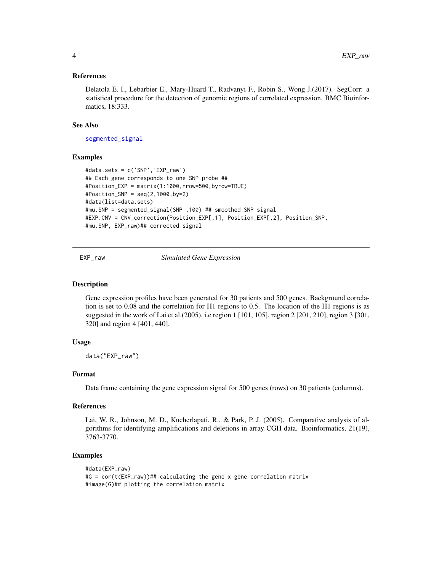#### <span id="page-3-0"></span>References

Delatola E. I., Lebarbier E., Mary-Huard T., Radvanyi F., Robin S., Wong J.(2017). SegCorr: a statistical procedure for the detection of genomic regions of correlated expression. BMC Bioinformatics, 18:333.

#### See Also

[segmented\\_signal](#page-7-1)

#### Examples

```
#data.sets = c('SNP','EXP_raw')
## Each gene corresponds to one SNP probe ##
#Position_EXP = matrix(1:1000,nrow=500,byrow=TRUE)
#Position_SNP = seq(2,1000,by=2)
#data(list=data.sets)
#mu.SNP = segmented_signal(SNP ,100) ## smoothed SNP signal
#EXP.CNV = CNV_correction(Position_EXP[,1], Position_EXP[,2], Position_SNP,
#mu.SNP, EXP_raw)## corrected signal
```
EXP\_raw *Simulated Gene Expression*

#### **Description**

Gene expression profiles have been generated for 30 patients and 500 genes. Background correlation is set to 0.08 and the correlation for H1 regions to 0.5. The location of the H1 regions is as suggested in the work of Lai et al.(2005), i.e region 1 [101, 105], region 2 [201, 210], region 3 [301, 320] and region 4 [401, 440].

# Usage

data("EXP\_raw")

# Format

Data frame containing the gene expression signal for 500 genes (rows) on 30 patients (columns).

#### References

Lai, W. R., Johnson, M. D., Kucherlapati, R., & Park, P. J. (2005). Comparative analysis of algorithms for identifying amplifications and deletions in array CGH data. Bioinformatics, 21(19), 3763-3770.

#### Examples

```
#data(EXP_raw)
#G = cor(t(EXP_raw))## calculating the gene x gene correlation matrix
#image(G)## plotting the correlation matrix
```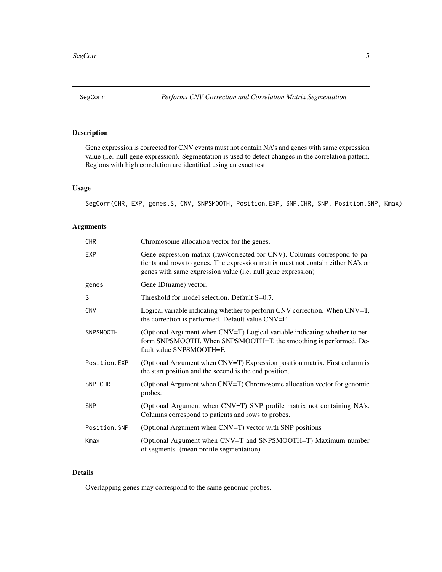<span id="page-4-0"></span>

# Description

Gene expression is corrected for CNV events must not contain NA's and genes with same expression value (i.e. null gene expression). Segmentation is used to detect changes in the correlation pattern. Regions with high correlation are identified using an exact test.

# Usage

SegCorr(CHR, EXP, genes,S, CNV, SNPSMOOTH, Position.EXP, SNP.CHR, SNP, Position.SNP, Kmax)

# Arguments

| <b>CHR</b>       | Chromosome allocation vector for the genes.                                                                                                                                                                                  |
|------------------|------------------------------------------------------------------------------------------------------------------------------------------------------------------------------------------------------------------------------|
| <b>EXP</b>       | Gene expression matrix (raw/corrected for CNV). Columns correspond to pa-<br>tients and rows to genes. The expression matrix must not contain either NA's or<br>genes with same expression value (i.e. null gene expression) |
| genes            | Gene ID(name) vector.                                                                                                                                                                                                        |
| S                | Threshold for model selection. Default S=0.7.                                                                                                                                                                                |
| <b>CNV</b>       | Logical variable indicating whether to perform CNV correction. When CNV=T,<br>the correction is performed. Default value CNV=F.                                                                                              |
| <b>SNPSMOOTH</b> | (Optional Argument when CNV=T) Logical variable indicating whether to per-<br>form SNPSMOOTH. When SNPSMOOTH=T, the smoothing is performed. De-<br>fault value SNPSMOOTH=F.                                                  |
| Position.EXP     | (Optional Argument when CNV=T) Expression position matrix. First column is<br>the start position and the second is the end position.                                                                                         |
| SNP.CHR          | (Optional Argument when CNV=T) Chromosome allocation vector for genomic<br>probes.                                                                                                                                           |
| <b>SNP</b>       | (Optional Argument when CNV=T) SNP profile matrix not containing NA's.<br>Columns correspond to patients and rows to probes.                                                                                                 |
| Position.SNP     | (Optional Argument when CNV=T) vector with SNP positions                                                                                                                                                                     |
| Kmax             | (Optional Argument when CNV=T and SNPSMOOTH=T) Maximum number<br>of segments. (mean profile segmentation)                                                                                                                    |

# Details

Overlapping genes may correspond to the same genomic probes.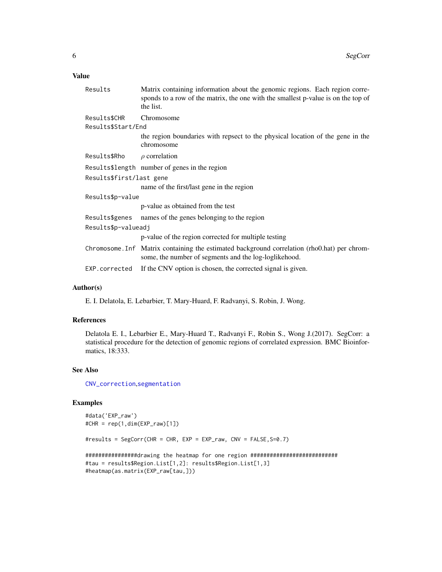# <span id="page-5-0"></span>Value

| Results                  | Matrix containing information about the genomic regions. Each region corre-<br>sponds to a row of the matrix, the one with the smallest p-value is on the top of<br>the list. |
|--------------------------|-------------------------------------------------------------------------------------------------------------------------------------------------------------------------------|
| Results\$CHR             | Chromosome                                                                                                                                                                    |
| Results\$Start/End       |                                                                                                                                                                               |
|                          | the region boundaries with repsect to the physical location of the gene in the<br>chromosome                                                                                  |
| Results\$Rho             | $\rho$ correlation                                                                                                                                                            |
|                          | Results\$length number of genes in the region                                                                                                                                 |
| Results\$first/last gene |                                                                                                                                                                               |
|                          | name of the first/last gene in the region                                                                                                                                     |
| Results\$p-value         |                                                                                                                                                                               |
|                          | p-value as obtained from the test                                                                                                                                             |
| Results\$genes           | names of the genes belonging to the region                                                                                                                                    |
| Results\$p-valueadj      |                                                                                                                                                                               |
|                          | p-value of the region corrected for multiple testing                                                                                                                          |
|                          | Chromosome. Inf Matrix containing the estimated background correlation (rho0.hat) per chrom-<br>some, the number of segments and the log-loglike hood.                        |
| EXP.corrected            | If the CNV option is chosen, the corrected signal is given.                                                                                                                   |
|                          |                                                                                                                                                                               |

#### Author(s)

E. I. Delatola, E. Lebarbier, T. Mary-Huard, F. Radvanyi, S. Robin, J. Wong.

#### References

Delatola E. I., Lebarbier E., Mary-Huard T., Radvanyi F., Robin S., Wong J.(2017). SegCorr: a statistical procedure for the detection of genomic regions of correlated expression. BMC Bioinformatics, 18:333.

# See Also

[CNV\\_correction](#page-2-1),[segmentation](#page-6-1)

#### Examples

```
#data('EXP_raw')
#CHR = rep(1,dim(EXP_raw)[1])
#results = SegCorr(CHR = CHR, EXP = EXP_raw, CNV = FALSE,S=0.7)
################drawing the heatmap for one region ###########################
#tau = results$Region.List[1,2]: results$Region.List[1,3]
#heatmap(as.matrix(EXP_raw[tau,]))
```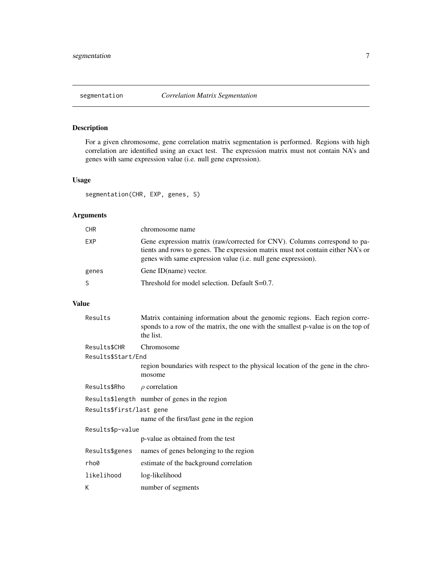<span id="page-6-1"></span><span id="page-6-0"></span>

# Description

For a given chromosome, gene correlation matrix segmentation is performed. Regions with high correlation are identified using an exact test. The expression matrix must not contain NA's and genes with same expression value (i.e. null gene expression).

# Usage

segmentation(CHR, EXP, genes, S)

# Arguments

| <b>CHR</b> | chromosome name                                                                                                                                                                                                               |
|------------|-------------------------------------------------------------------------------------------------------------------------------------------------------------------------------------------------------------------------------|
| EXP.       | Gene expression matrix (raw/corrected for CNV). Columns correspond to pa-<br>tients and rows to genes. The expression matrix must not contain either NA's or<br>genes with same expression value (i.e. null gene expression). |
| genes      | Gene ID(name) vector.                                                                                                                                                                                                         |
| S.         | Threshold for model selection. Default S=0.7.                                                                                                                                                                                 |

# Value

| Results                  | Matrix containing information about the genomic regions. Each region corre-<br>sponds to a row of the matrix, the one with the smallest p-value is on the top of<br>the list. |
|--------------------------|-------------------------------------------------------------------------------------------------------------------------------------------------------------------------------|
| Results\$CHR             | Chromosome                                                                                                                                                                    |
| Results\$Start/End       |                                                                                                                                                                               |
|                          | region boundaries with respect to the physical location of the gene in the chro-<br>mosome                                                                                    |
| Results\$Rho             | $\rho$ correlation                                                                                                                                                            |
|                          | Results\$length number of genes in the region                                                                                                                                 |
| Results\$first/last gene |                                                                                                                                                                               |
|                          | name of the first/last gene in the region                                                                                                                                     |
| Results\$p-value         |                                                                                                                                                                               |
|                          | p-value as obtained from the test                                                                                                                                             |
| Results\$genes           | names of genes belonging to the region                                                                                                                                        |
| rho0                     | estimate of the background correlation                                                                                                                                        |
| likelihood               | log-likelihood                                                                                                                                                                |
| К                        | number of segments                                                                                                                                                            |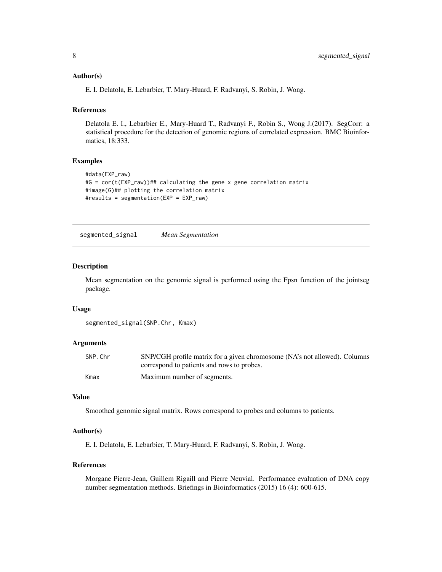#### <span id="page-7-0"></span>Author(s)

E. I. Delatola, E. Lebarbier, T. Mary-Huard, F. Radvanyi, S. Robin, J. Wong.

#### References

Delatola E. I., Lebarbier E., Mary-Huard T., Radvanyi F., Robin S., Wong J.(2017). SegCorr: a statistical procedure for the detection of genomic regions of correlated expression. BMC Bioinformatics, 18:333.

#### Examples

```
#data(EXP_raw)
#G = cor(t(EXP_raw))## calculating the gene x gene correlation matrix
#image(G)## plotting the correlation matrix
#results = segmentation(EXP = EXP_raw)
```
<span id="page-7-1"></span>segmented\_signal *Mean Segmentation*

#### Description

Mean segmentation on the genomic signal is performed using the Fpsn function of the jointseg package.

#### Usage

```
segmented_signal(SNP.Chr, Kmax)
```
#### Arguments

| SNP.Chr | SNP/CGH profile matrix for a given chromosome (NA's not allowed). Columns |
|---------|---------------------------------------------------------------------------|
|         | correspond to patients and rows to probes.                                |
| Kmax    | Maximum number of segments.                                               |

#### Value

Smoothed genomic signal matrix. Rows correspond to probes and columns to patients.

#### Author(s)

E. I. Delatola, E. Lebarbier, T. Mary-Huard, F. Radvanyi, S. Robin, J. Wong.

#### References

Morgane Pierre-Jean, Guillem Rigaill and Pierre Neuvial. Performance evaluation of DNA copy number segmentation methods. Briefings in Bioinformatics (2015) 16 (4): 600-615.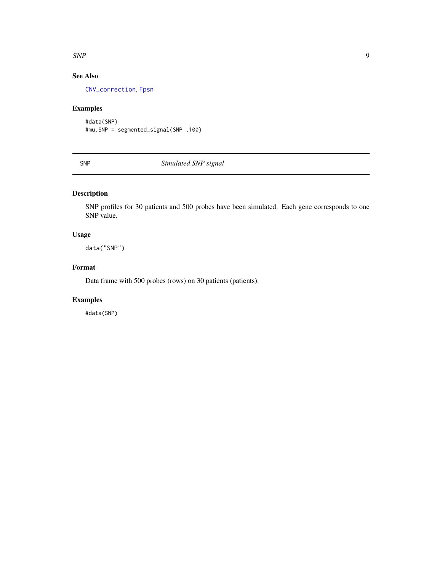#### <span id="page-8-0"></span> $SNP$  9

# See Also

[CNV\\_correction](#page-2-1), [Fpsn](#page-0-0)

# Examples

```
#data(SNP)
#mu.SNP = segmented_signal(SNP ,100)
```
SNP *Simulated SNP signal*

# Description

SNP profiles for 30 patients and 500 probes have been simulated. Each gene corresponds to one SNP value.

# Usage

data("SNP")

# Format

Data frame with 500 probes (rows) on 30 patients (patients).

# Examples

#data(SNP)